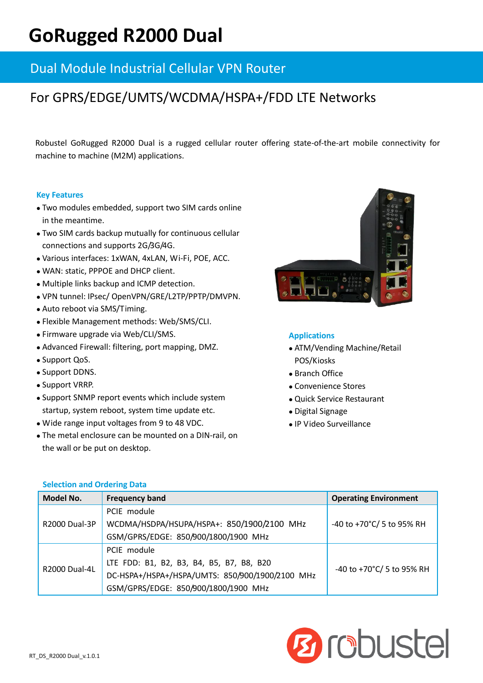## **GoRugged R2000 Dual**

### Dual Module Industrial Cellular VPN Router

## For GPRS/EDGE/UMTS/WCDMA/HSPA+/FDD LTE Networks

Robustel GoRugged R2000 Dual is a rugged cellular router offering state-of-the-art mobile connectivity for machine to machine (M2M) applications.

#### **Key Features**

- Two modules embedded, support two SIM cards online in the meantime.
- Two SIM cards backup mutually for continuous cellular connections and supports 2G/3G/4G.
- Various interfaces: 1xWAN, 4xLAN, Wi-Fi, POE, ACC.
- WAN: static, PPPOE and DHCP client.
- Multiple links backup and ICMP detection.
- VPN tunnel: IPsec/ OpenVPN/GRE/L2TP/PPTP/DMVPN.
- Auto reboot via SMS/Timing.
- Flexible Management methods: Web/SMS/CLI.
- Firmware upgrade via Web/CLI/SMS.
- Advanced Firewall: filtering, port mapping, DMZ.
- Support QoS.
- Support DDNS.
- Support VRRP.
- Support SNMP report events which include system startup, system reboot, system time update etc.
- Wide range input voltages from 9 to 48 VDC.
- The metal enclosure can be mounted on a DIN-rail, on the wall or be put on desktop.



#### **Applications**

- ATM/Vending Machine/Retail POS/Kiosks
- Branch Office
- Convenience Stores
- Quick Service Restaurant
- Digital Signage
- IP Video Surveillance

| Model No.            | <b>Frequency band</b>                           | <b>Operating Environment</b> |
|----------------------|-------------------------------------------------|------------------------------|
| <b>R2000 Dual-3P</b> | PCIE module                                     |                              |
|                      | WCDMA/HSDPA/HSUPA/HSPA+: 850/1900/2100 MHz      | -40 to +70°C/ 5 to 95% RH    |
|                      | GSM/GPRS/EDGE: 850/900/1800/1900 MHz            |                              |
| <b>R2000 Dual-4L</b> | PCIE module                                     |                              |
|                      | LTE FDD: B1, B2, B3, B4, B5, B7, B8, B20        | -40 to +70°C/ 5 to 95% RH    |
|                      | DC-HSPA+/HSPA+/HSPA/UMTS: 850/900/1900/2100 MHz |                              |
|                      | GSM/GPRS/EDGE: 850/900/1800/1900 MHz            |                              |

# **Ørdbustel**

#### **Selection and Ordering Data**